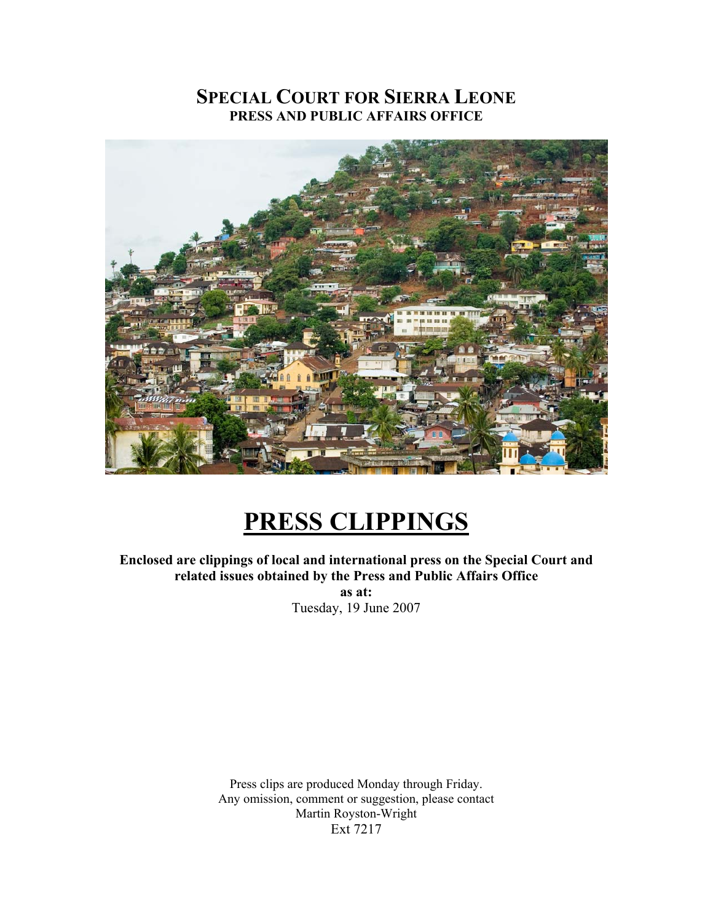# **SPECIAL COURT FOR SIERRA LEONE PRESS AND PUBLIC AFFAIRS OFFICE**



# **PRESS CLIPPINGS**

**Enclosed are clippings of local and international press on the Special Court and related issues obtained by the Press and Public Affairs Office as at:** 

Tuesday, 19 June 2007

Press clips are produced Monday through Friday. Any omission, comment or suggestion, please contact Martin Royston-Wright Ext 7217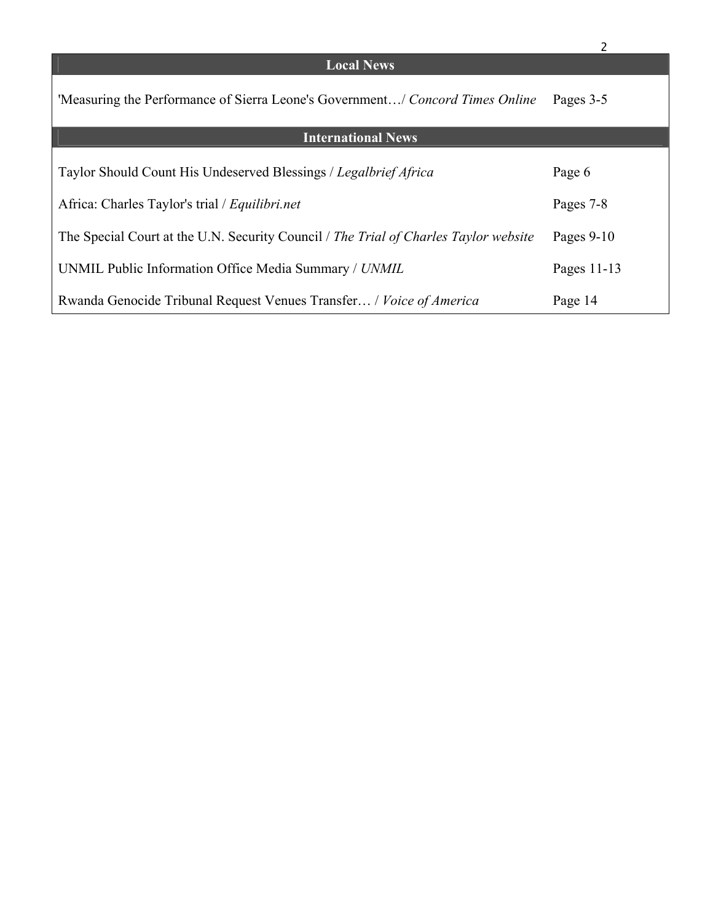|                                                                                      | 2            |
|--------------------------------------------------------------------------------------|--------------|
| <b>Local News</b>                                                                    |              |
| 'Measuring the Performance of Sierra Leone's Government/ Concord Times Online        | Pages 3-5    |
| <b>International News</b>                                                            |              |
|                                                                                      |              |
| Taylor Should Count His Undeserved Blessings / Legalbrief Africa                     | Page 6       |
| Africa: Charles Taylor's trial / Equilibri.net                                       | Pages 7-8    |
| The Special Court at the U.N. Security Council / The Trial of Charles Taylor website | Pages $9-10$ |
| UNMIL Public Information Office Media Summary / UNMIL                                | Pages 11-13  |
| Rwanda Genocide Tribunal Request Venues Transfer / Voice of America                  | Page 14      |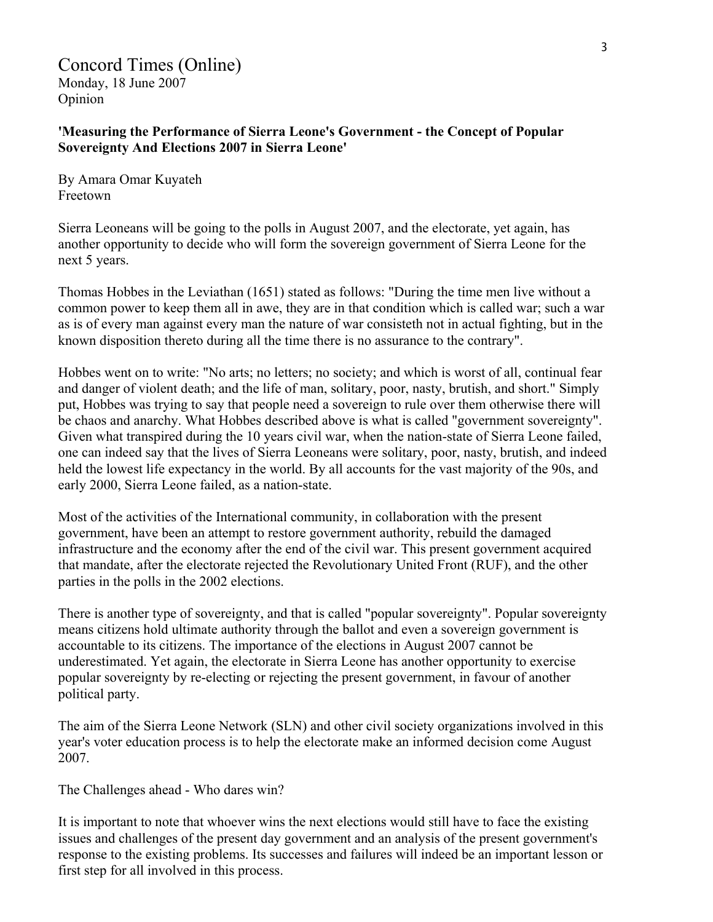### Concord Times (Online)

Monday, 18 June 2007 Opinion

**'Measuring the Performance of Sierra Leone's Government - the Concept of Popular Sovereignty And Elections 2007 in Sierra Leone'** 

By Amara Omar Kuyateh Freetown

Sierra Leoneans will be going to the polls in August 2007, and the electorate, yet again, has another opportunity to decide who will form the sovereign government of Sierra Leone for the next 5 years.

Thomas Hobbes in the Leviathan (1651) stated as follows: "During the time men live without a common power to keep them all in awe, they are in that condition which is called war; such a war as is of every man against every man the nature of war consisteth not in actual fighting, but in the known disposition thereto during all the time there is no assurance to the contrary".

Hobbes went on to write: "No arts; no letters; no society; and which is worst of all, continual fear and danger of violent death; and the life of man, solitary, poor, nasty, brutish, and short." Simply put, Hobbes was trying to say that people need a sovereign to rule over them otherwise there will be chaos and anarchy. What Hobbes described above is what is called "government sovereignty". Given what transpired during the 10 years civil war, when the nation-state of Sierra Leone failed, one can indeed say that the lives of Sierra Leoneans were solitary, poor, nasty, brutish, and indeed held the lowest life expectancy in the world. By all accounts for the vast majority of the 90s, and early 2000, Sierra Leone failed, as a nation-state.

Most of the activities of the International community, in collaboration with the present government, have been an attempt to restore government authority, rebuild the damaged infrastructure and the economy after the end of the civil war. This present government acquired that mandate, after the electorate rejected the Revolutionary United Front (RUF), and the other parties in the polls in the 2002 elections.

There is another type of sovereignty, and that is called "popular sovereignty". Popular sovereignty means citizens hold ultimate authority through the ballot and even a sovereign government is accountable to its citizens. The importance of the elections in August 2007 cannot be underestimated. Yet again, the electorate in Sierra Leone has another opportunity to exercise popular sovereignty by re-electing or rejecting the present government, in favour of another political party.

The aim of the Sierra Leone Network (SLN) and other civil society organizations involved in this year's voter education process is to help the electorate make an informed decision come August 2007.

The Challenges ahead - Who dares win?

It is important to note that whoever wins the next elections would still have to face the existing issues and challenges of the present day government and an analysis of the present government's response to the existing problems. Its successes and failures will indeed be an important lesson or first step for all involved in this process.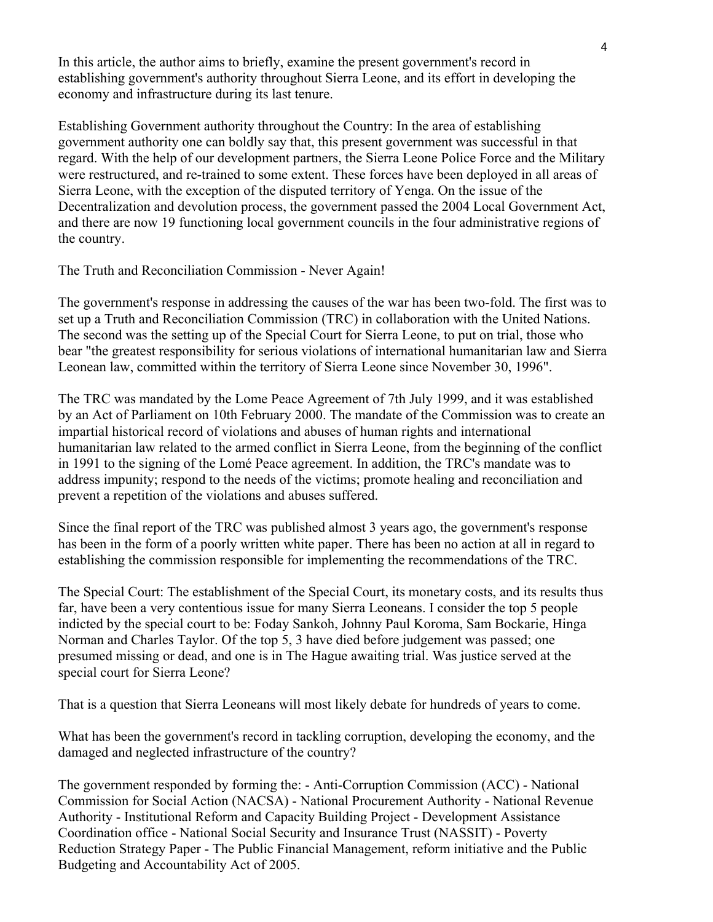In this article, the author aims to briefly, examine the present government's record in establishing government's authority throughout Sierra Leone, and its effort in developing the economy and infrastructure during its last tenure.

Establishing Government authority throughout the Country: In the area of establishing government authority one can boldly say that, this present government was successful in that regard. With the help of our development partners, the Sierra Leone Police Force and the Military were restructured, and re-trained to some extent. These forces have been deployed in all areas of Sierra Leone, with the exception of the disputed territory of Yenga. On the issue of the Decentralization and devolution process, the government passed the 2004 Local Government Act, and there are now 19 functioning local government councils in the four administrative regions of the country.

The Truth and Reconciliation Commission - Never Again!

The government's response in addressing the causes of the war has been two-fold. The first was to set up a Truth and Reconciliation Commission (TRC) in collaboration with the United Nations. The second was the setting up of the Special Court for Sierra Leone, to put on trial, those who bear "the greatest responsibility for serious violations of international humanitarian law and Sierra Leonean law, committed within the territory of Sierra Leone since November 30, 1996".

The TRC was mandated by the Lome Peace Agreement of 7th July 1999, and it was established by an Act of Parliament on 10th February 2000. The mandate of the Commission was to create an impartial historical record of violations and abuses of human rights and international humanitarian law related to the armed conflict in Sierra Leone, from the beginning of the conflict in 1991 to the signing of the Lomé Peace agreement. In addition, the TRC's mandate was to address impunity; respond to the needs of the victims; promote healing and reconciliation and prevent a repetition of the violations and abuses suffered.

Since the final report of the TRC was published almost 3 years ago, the government's response has been in the form of a poorly written white paper. There has been no action at all in regard to establishing the commission responsible for implementing the recommendations of the TRC.

The Special Court: The establishment of the Special Court, its monetary costs, and its results thus far, have been a very contentious issue for many Sierra Leoneans. I consider the top 5 people indicted by the special court to be: Foday Sankoh, Johnny Paul Koroma, Sam Bockarie, Hinga Norman and Charles Taylor. Of the top 5, 3 have died before judgement was passed; one presumed missing or dead, and one is in The Hague awaiting trial. Was justice served at the special court for Sierra Leone?

That is a question that Sierra Leoneans will most likely debate for hundreds of years to come.

What has been the government's record in tackling corruption, developing the economy, and the damaged and neglected infrastructure of the country?

The government responded by forming the: - Anti-Corruption Commission (ACC) - National Commission for Social Action (NACSA) - National Procurement Authority - National Revenue Authority - Institutional Reform and Capacity Building Project - Development Assistance Coordination office - National Social Security and Insurance Trust (NASSIT) - Poverty Reduction Strategy Paper - The Public Financial Management, reform initiative and the Public Budgeting and Accountability Act of 2005.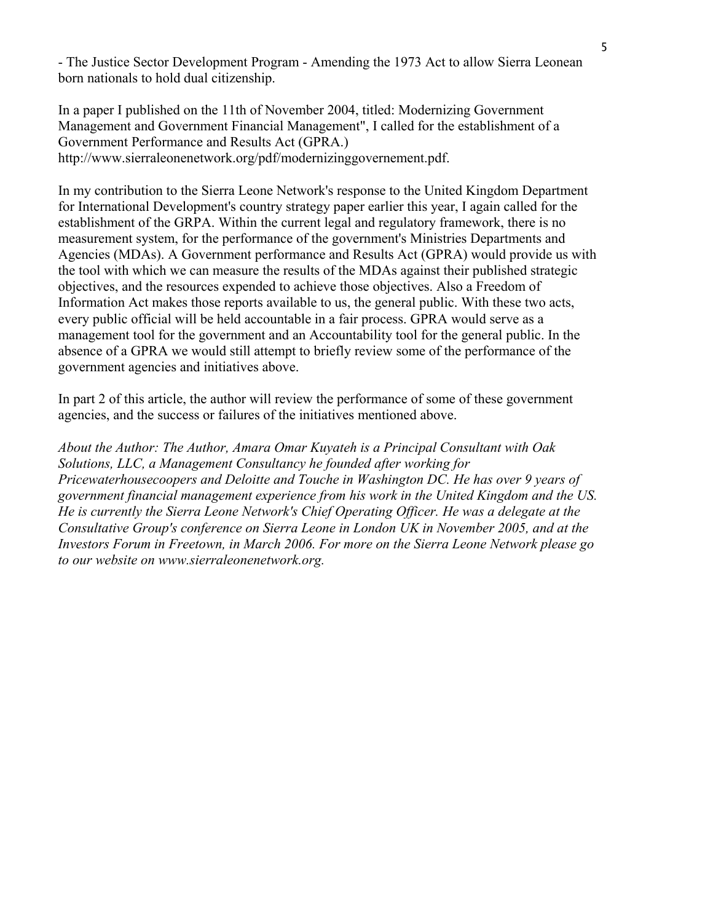- The Justice Sector Development Program - Amending the 1973 Act to allow Sierra Leonean born nationals to hold dual citizenship.

In a paper I published on the 11th of November 2004, titled: Modernizing Government Management and Government Financial Management", I called for the establishment of a Government Performance and Results Act (GPRA.) http://www.sierraleonenetwork.org/pdf/modernizinggovernement.pdf.

In my contribution to the Sierra Leone Network's response to the United Kingdom Department for International Development's country strategy paper earlier this year, I again called for the establishment of the GRPA. Within the current legal and regulatory framework, there is no measurement system, for the performance of the government's Ministries Departments and Agencies (MDAs). A Government performance and Results Act (GPRA) would provide us with the tool with which we can measure the results of the MDAs against their published strategic objectives, and the resources expended to achieve those objectives. Also a Freedom of Information Act makes those reports available to us, the general public. With these two acts, every public official will be held accountable in a fair process. GPRA would serve as a management tool for the government and an Accountability tool for the general public. In the absence of a GPRA we would still attempt to briefly review some of the performance of the government agencies and initiatives above.

In part 2 of this article, the author will review the performance of some of these government agencies, and the success or failures of the initiatives mentioned above.

*About the Author: The Author, Amara Omar Kuyateh is a Principal Consultant with Oak Solutions, LLC, a Management Consultancy he founded after working for Pricewaterhousecoopers and Deloitte and Touche in Washington DC. He has over 9 years of government financial management experience from his work in the United Kingdom and the US. He is currently the Sierra Leone Network's Chief Operating Officer. He was a delegate at the Consultative Group's conference on Sierra Leone in London UK in November 2005, and at the Investors Forum in Freetown, in March 2006. For more on the Sierra Leone Network please go to our website on www.sierraleonenetwork.org.*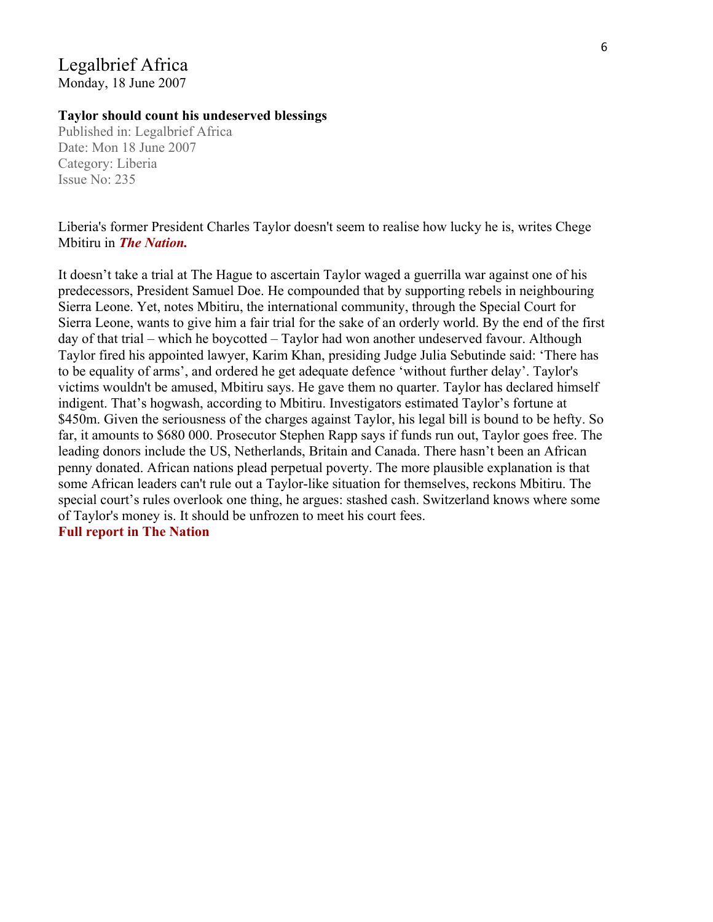### Legalbrief Africa Monday, 18 June 2007

### **Taylor should count his undeserved blessings**

Published in: Legalbrief Africa Date: Mon 18 June 2007 Category: Liberia Issue No: 235

Liberia's former President Charles Taylor doesn't seem to realise how lucky he is, writes Chege Mbitiru in *The Nation.*

It doesn't take a trial at The Hague to ascertain Taylor waged a guerrilla war against one of his predecessors, President Samuel Doe. He compounded that by supporting rebels in neighbouring Sierra Leone. Yet, notes Mbitiru, the international community, through the Special Court for Sierra Leone, wants to give him a fair trial for the sake of an orderly world. By the end of the first day of that trial – which he boycotted – Taylor had won another undeserved favour. Although Taylor fired his appointed lawyer, Karim Khan, presiding Judge Julia Sebutinde said: 'There has to be equality of arms', and ordered he get adequate defence 'without further delay'. Taylor's victims wouldn't be amused, Mbitiru says. He gave them no quarter. Taylor has declared himself indigent. That's hogwash, according to Mbitiru. Investigators estimated Taylor's fortune at \$450m. Given the seriousness of the charges against Taylor, his legal bill is bound to be hefty. So far, it amounts to \$680 000. Prosecutor Stephen Rapp says if funds run out, Taylor goes free. The leading donors include the US, Netherlands, Britain and Canada. There hasn't been an African penny donated. African nations plead perpetual poverty. The more plausible explanation is that some African leaders can't rule out a Taylor-like situation for themselves, reckons Mbitiru. The special court's rules overlook one thing, he argues: stashed cash. Switzerland knows where some of Taylor's money is. It should be unfrozen to meet his court fees. **[Full report in The Nation](http://allafrica.com/stories/200706110671.html)**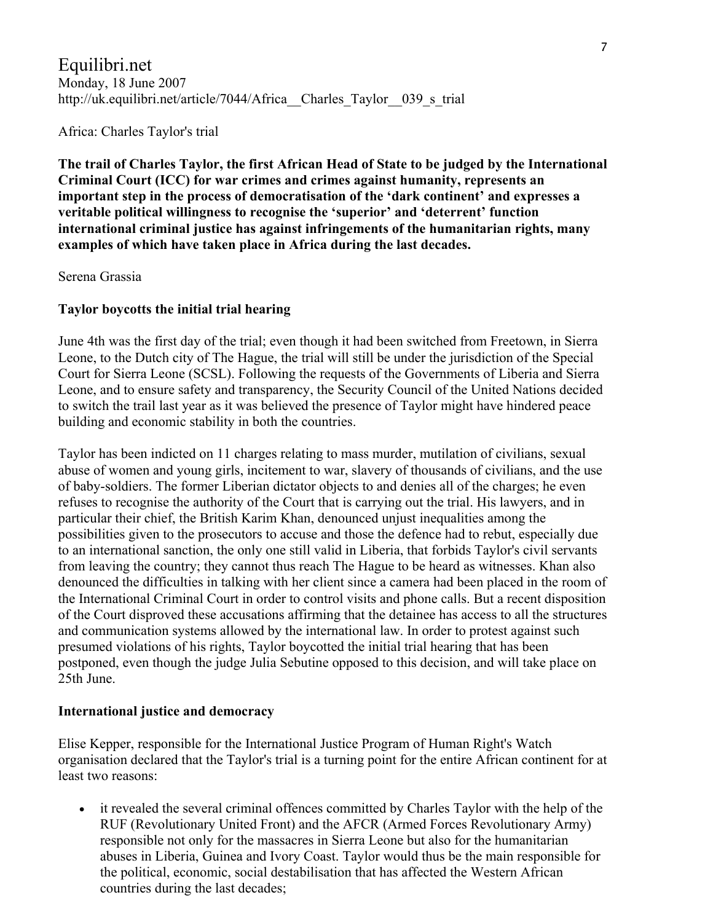## Equilibri.net Monday, 18 June 2007 http://uk.equilibri.net/article/7044/Africa Charles Taylor 039 s trial

Africa: Charles Taylor's trial

**The trail of Charles Taylor, the first African Head of State to be judged by the International Criminal Court (ICC) for war crimes and crimes against humanity, represents an important step in the process of democratisation of the 'dark continent' and expresses a veritable political willingness to recognise the 'superior' and 'deterrent' function international criminal justice has against infringements of the humanitarian rights, many examples of which have taken place in Africa during the last decades.** 

Serena Grassia

### **Taylor boycotts the initial trial hearing**

June 4th was the first day of the trial; even though it had been switched from Freetown, in Sierra Leone, to the Dutch city of The Hague, the trial will still be under the jurisdiction of the Special Court for Sierra Leone (SCSL). Following the requests of the Governments of Liberia and Sierra Leone, and to ensure safety and transparency, the Security Council of the United Nations decided to switch the trail last year as it was believed the presence of Taylor might have hindered peace building and economic stability in both the countries.

Taylor has been indicted on 11 charges relating to mass murder, mutilation of civilians, sexual abuse of women and young girls, incitement to war, slavery of thousands of civilians, and the use of baby-soldiers. The former Liberian dictator objects to and denies all of the charges; he even refuses to recognise the authority of the Court that is carrying out the trial. His lawyers, and in particular their chief, the British Karim Khan, denounced unjust inequalities among the possibilities given to the prosecutors to accuse and those the defence had to rebut, especially due to an international sanction, the only one still valid in Liberia, that forbids Taylor's civil servants from leaving the country; they cannot thus reach The Hague to be heard as witnesses. Khan also denounced the difficulties in talking with her client since a camera had been placed in the room of the International Criminal Court in order to control visits and phone calls. But a recent disposition of the Court disproved these accusations affirming that the detainee has access to all the structures and communication systems allowed by the international law. In order to protest against such presumed violations of his rights, Taylor boycotted the initial trial hearing that has been postponed, even though the judge Julia Sebutine opposed to this decision, and will take place on 25th June.

### **International justice and democracy**

Elise Kepper, responsible for the International Justice Program of Human Right's Watch organisation declared that the Taylor's trial is a turning point for the entire African continent for at least two reasons:

• it revealed the several criminal offences committed by Charles Taylor with the help of the RUF (Revolutionary United Front) and the AFCR (Armed Forces Revolutionary Army) responsible not only for the massacres in Sierra Leone but also for the humanitarian abuses in Liberia, Guinea and Ivory Coast. Taylor would thus be the main responsible for the political, economic, social destabilisation that has affected the Western African countries during the last decades;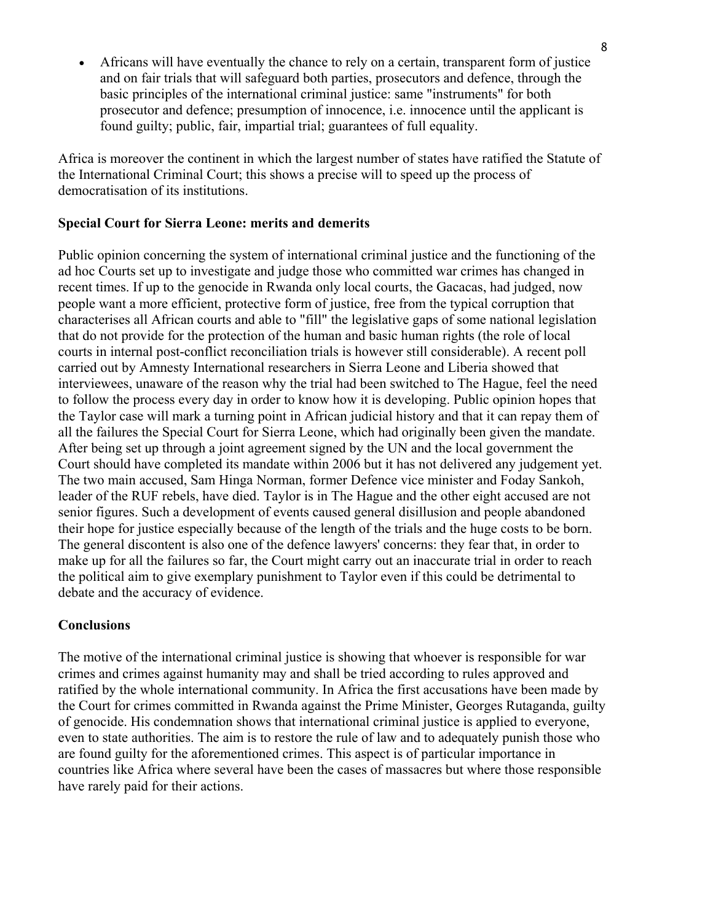• Africans will have eventually the chance to rely on a certain, transparent form of justice and on fair trials that will safeguard both parties, prosecutors and defence, through the basic principles of the international criminal justice: same "instruments" for both prosecutor and defence; presumption of innocence, i.e. innocence until the applicant is found guilty; public, fair, impartial trial; guarantees of full equality.

Africa is moreover the continent in which the largest number of states have ratified the Statute of the International Criminal Court; this shows a precise will to speed up the process of democratisation of its institutions.

#### **Special Court for Sierra Leone: merits and demerits**

Public opinion concerning the system of international criminal justice and the functioning of the ad hoc Courts set up to investigate and judge those who committed war crimes has changed in recent times. If up to the genocide in Rwanda only local courts, the Gacacas, had judged, now people want a more efficient, protective form of justice, free from the typical corruption that characterises all African courts and able to "fill" the legislative gaps of some national legislation that do not provide for the protection of the human and basic human rights (the role of local courts in internal post-conflict reconciliation trials is however still considerable). A recent poll carried out by Amnesty International researchers in Sierra Leone and Liberia showed that interviewees, unaware of the reason why the trial had been switched to The Hague, feel the need to follow the process every day in order to know how it is developing. Public opinion hopes that the Taylor case will mark a turning point in African judicial history and that it can repay them of all the failures the Special Court for Sierra Leone, which had originally been given the mandate. After being set up through a joint agreement signed by the UN and the local government the Court should have completed its mandate within 2006 but it has not delivered any judgement yet. The two main accused, Sam Hinga Norman, former Defence vice minister and Foday Sankoh, leader of the RUF rebels, have died. Taylor is in The Hague and the other eight accused are not senior figures. Such a development of events caused general disillusion and people abandoned their hope for justice especially because of the length of the trials and the huge costs to be born. The general discontent is also one of the defence lawyers' concerns: they fear that, in order to make up for all the failures so far, the Court might carry out an inaccurate trial in order to reach the political aim to give exemplary punishment to Taylor even if this could be detrimental to debate and the accuracy of evidence.

#### **Conclusions**

The motive of the international criminal justice is showing that whoever is responsible for war crimes and crimes against humanity may and shall be tried according to rules approved and ratified by the whole international community. In Africa the first accusations have been made by the Court for crimes committed in Rwanda against the Prime Minister, Georges Rutaganda, guilty of genocide. His condemnation shows that international criminal justice is applied to everyone, even to state authorities. The aim is to restore the rule of law and to adequately punish those who are found guilty for the aforementioned crimes. This aspect is of particular importance in countries like Africa where several have been the cases of massacres but where those responsible have rarely paid for their actions.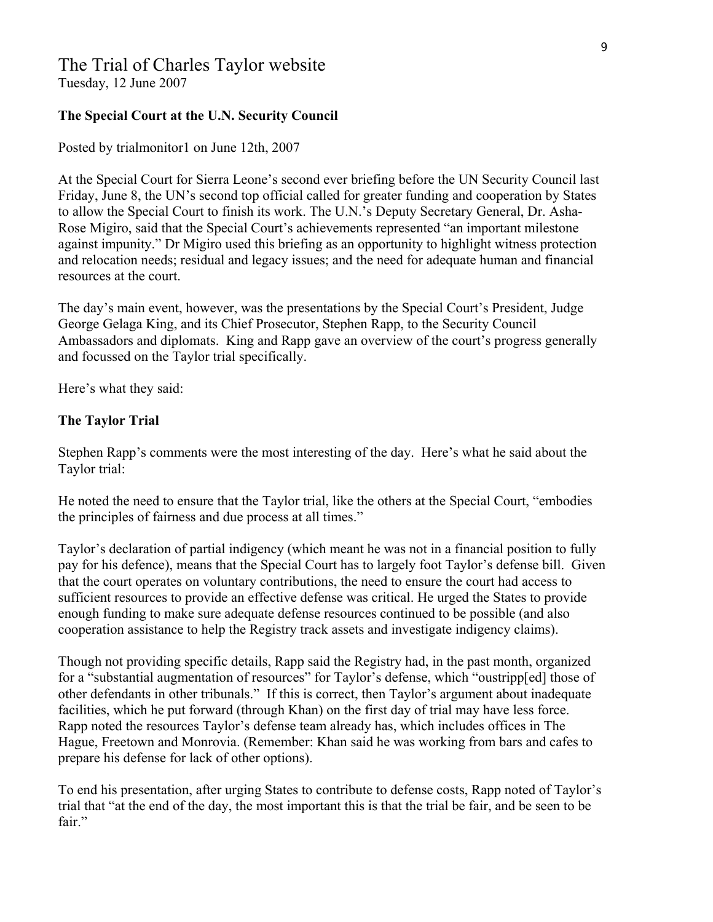# The Trial of Charles Taylor website

Tuesday, 12 June 2007

#### **The Special Court at the U.N. Security Council**

Posted by trialmonitor1 on June 12th, 2007

At the Special Court for Sierra Leone's second ever briefing before the UN Security Council last Friday, June 8, the UN's second top official called for greater funding and cooperation by States to allow the Special Court to finish its work. The U.N.'s Deputy Secretary General, Dr. Asha-Rose Migiro, said that the Special Court's achievements represented "an important milestone against impunity." Dr Migiro used this briefing as an opportunity to highlight witness protection and relocation needs; residual and legacy issues; and the need for adequate human and financial resources at the court.

The day's main event, however, was the presentations by the Special Court's President, Judge George Gelaga King, and its Chief Prosecutor, Stephen Rapp, to the Security Council Ambassadors and diplomats. King and Rapp gave an overview of the court's progress generally and focussed on the Taylor trial specifically.

Here's what they said:

#### **The Taylor Trial**

Stephen Rapp's comments were the most interesting of the day. Here's what he said about the Taylor trial:

He noted the need to ensure that the Taylor trial, like the others at the Special Court, "embodies the principles of fairness and due process at all times."

Taylor's declaration of partial indigency (which meant he was not in a financial position to fully pay for his defence), means that the Special Court has to largely foot Taylor's defense bill. Given that the court operates on voluntary contributions, the need to ensure the court had access to sufficient resources to provide an effective defense was critical. He urged the States to provide enough funding to make sure adequate defense resources continued to be possible (and also cooperation assistance to help the Registry track assets and investigate indigency claims).

Though not providing specific details, Rapp said the Registry had, in the past month, organized for a "substantial augmentation of resources" for Taylor's defense, which "oustripp[ed] those of other defendants in other tribunals." If this is correct, then Taylor's argument about inadequate facilities, which he put forward (through Khan) on the first day of trial may have less force. Rapp noted the resources Taylor's defense team already has, which includes offices in The Hague, Freetown and Monrovia. (Remember: Khan said he was working from bars and cafes to prepare his defense for lack of other options).

To end his presentation, after urging States to contribute to defense costs, Rapp noted of Taylor's trial that "at the end of the day, the most important this is that the trial be fair, and be seen to be fair."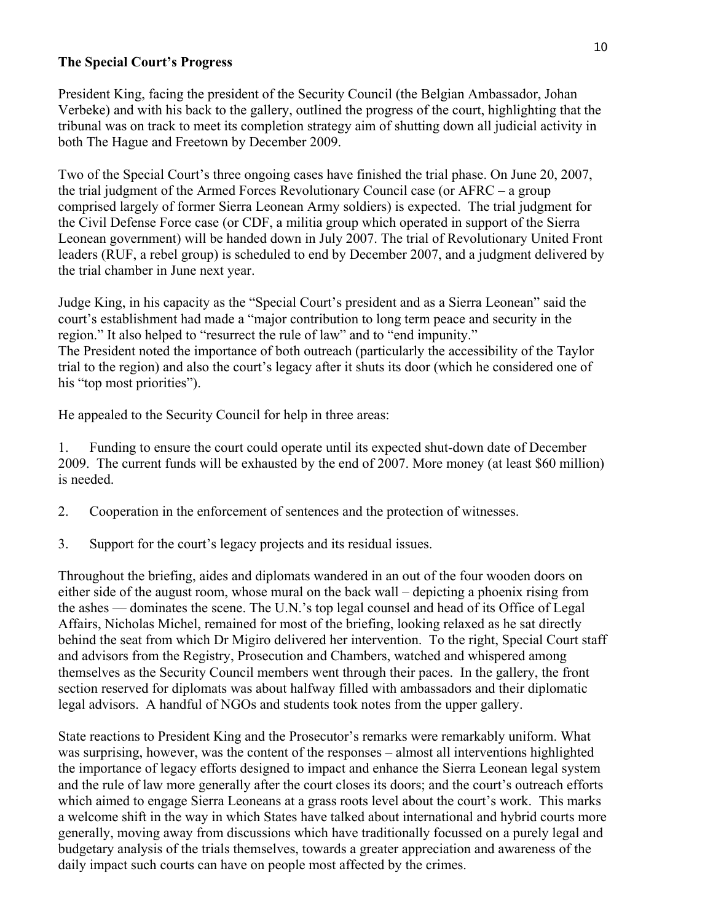#### **The Special Court's Progress**

President King, facing the president of the Security Council (the Belgian Ambassador, Johan Verbeke) and with his back to the gallery, outlined the progress of the court, highlighting that the tribunal was on track to meet its completion strategy aim of shutting down all judicial activity in both The Hague and Freetown by December 2009.

Two of the Special Court's three ongoing cases have finished the trial phase. On June 20, 2007, the trial judgment of the Armed Forces Revolutionary Council case (or AFRC – a group comprised largely of former Sierra Leonean Army soldiers) is expected. The trial judgment for the Civil Defense Force case (or CDF, a militia group which operated in support of the Sierra Leonean government) will be handed down in July 2007. The trial of Revolutionary United Front leaders (RUF, a rebel group) is scheduled to end by December 2007, and a judgment delivered by the trial chamber in June next year.

Judge King, in his capacity as the "Special Court's president and as a Sierra Leonean" said the court's establishment had made a "major contribution to long term peace and security in the region." It also helped to "resurrect the rule of law" and to "end impunity." The President noted the importance of both outreach (particularly the accessibility of the Taylor trial to the region) and also the court's legacy after it shuts its door (which he considered one of his "top most priorities").

He appealed to the Security Council for help in three areas:

1. Funding to ensure the court could operate until its expected shut-down date of December 2009. The current funds will be exhausted by the end of 2007. More money (at least \$60 million) is needed.

- 2. Cooperation in the enforcement of sentences and the protection of witnesses.
- 3. Support for the court's legacy projects and its residual issues.

Throughout the briefing, aides and diplomats wandered in an out of the four wooden doors on either side of the august room, whose mural on the back wall – depicting a phoenix rising from the ashes — dominates the scene. The U.N.'s top legal counsel and head of its Office of Legal Affairs, Nicholas Michel, remained for most of the briefing, looking relaxed as he sat directly behind the seat from which Dr Migiro delivered her intervention. To the right, Special Court staff and advisors from the Registry, Prosecution and Chambers, watched and whispered among themselves as the Security Council members went through their paces. In the gallery, the front section reserved for diplomats was about halfway filled with ambassadors and their diplomatic legal advisors. A handful of NGOs and students took notes from the upper gallery.

State reactions to President King and the Prosecutor's remarks were remarkably uniform. What was surprising, however, was the content of the responses – almost all interventions highlighted the importance of legacy efforts designed to impact and enhance the Sierra Leonean legal system and the rule of law more generally after the court closes its doors; and the court's outreach efforts which aimed to engage Sierra Leoneans at a grass roots level about the court's work. This marks a welcome shift in the way in which States have talked about international and hybrid courts more generally, moving away from discussions which have traditionally focussed on a purely legal and budgetary analysis of the trials themselves, towards a greater appreciation and awareness of the daily impact such courts can have on people most affected by the crimes.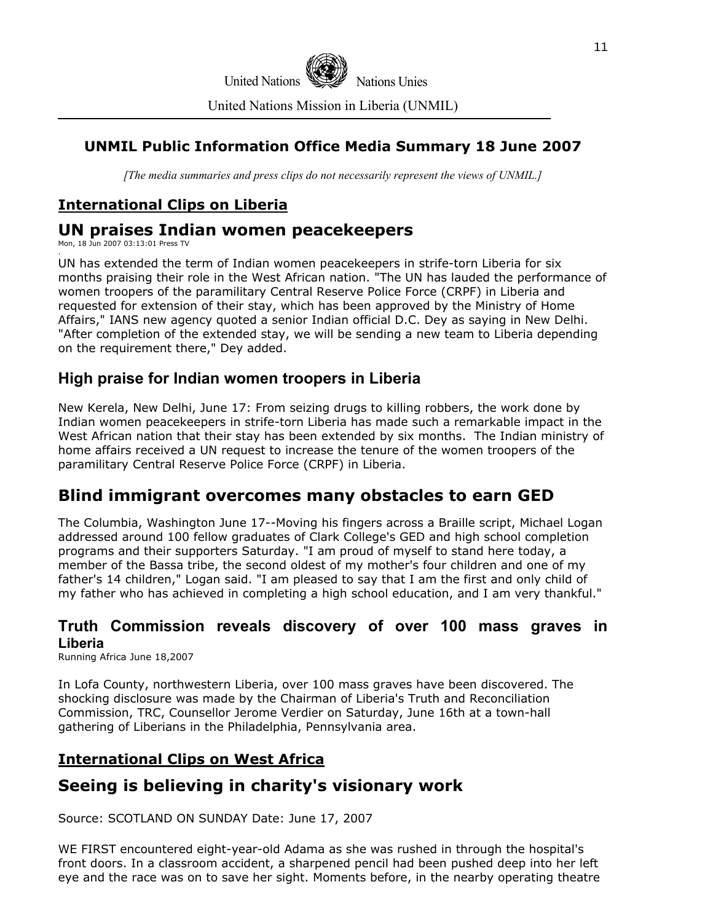

### **UNMIL Public Information Office Media Summary 18 June 2007**

*[The media summaries and press clips do not necessarily represent the views of UNMIL.]*

### **International Clips on Liberia**

### **UN praises Indian women peacekeepers**

Mon, 18 Jun 2007 03:13:01 Press TV .

UN has extended the term of Indian women peacekeepers in strife-torn Liberia for six months praising their role in the West African nation. "The UN has lauded the performance of women troopers of the paramilitary Central Reserve Police Force (CRPF) in Liberia and requested for extension of their stay, which has been approved by the Ministry of Home Affairs," IANS new agency quoted a senior Indian official D.C. Dey as saying in New Delhi. "After completion of the extended stay, we will be sending a new team to Liberia depending on the requirement there," Dey added.

### **High praise for Indian women troopers in Liberia**

New Kerela, New Delhi, June 17: From seizing drugs to killing robbers, the work done by Indian women peacekeepers in strife-torn Liberia has made such a remarkable impact in the West African nation that their stay has been extended by six months. The Indian ministry of home affairs received a UN request to increase the tenure of the women troopers of the paramilitary Central Reserve Police Force (CRPF) in Liberia.

## **Blind immigrant overcomes many obstacles to earn GED**

The Columbia, Washington June 17--Moving his fingers across a Braille script, Michael Logan addressed around 100 fellow graduates of Clark College's GED and high school completion programs and their supporters Saturday. "I am proud of myself to stand here today, a member of the Bassa tribe, the second oldest of my mother's four children and one of my father's 14 children," Logan said. "I am pleased to say that I am the first and only child of my father who has achieved in completing a high school education, and I am very thankful."

### **Truth Commission reveals discovery of over 100 mass graves in Liberia**

Running Africa June 18,2007

In Lofa County, northwestern Liberia, over 100 mass graves have been discovered. The shocking disclosure was made by the Chairman of Liberia's Truth and Reconciliation Commission, TRC, Counsellor Jerome Verdier on Saturday, June 16th at a town-hall gathering of Liberians in the Philadelphia, Pennsylvania area.

### **International Clips on West Africa**

# **Seeing is believing in charity's visionary work**

Source: SCOTLAND ON SUNDAY Date: June 17, 2007

WE FIRST encountered eight-year-old Adama as she was rushed in through the hospital's front doors. In a classroom accident, a sharpened pencil had been pushed deep into her left eye and the race was on to save her sight. Moments before, in the nearby operating theatre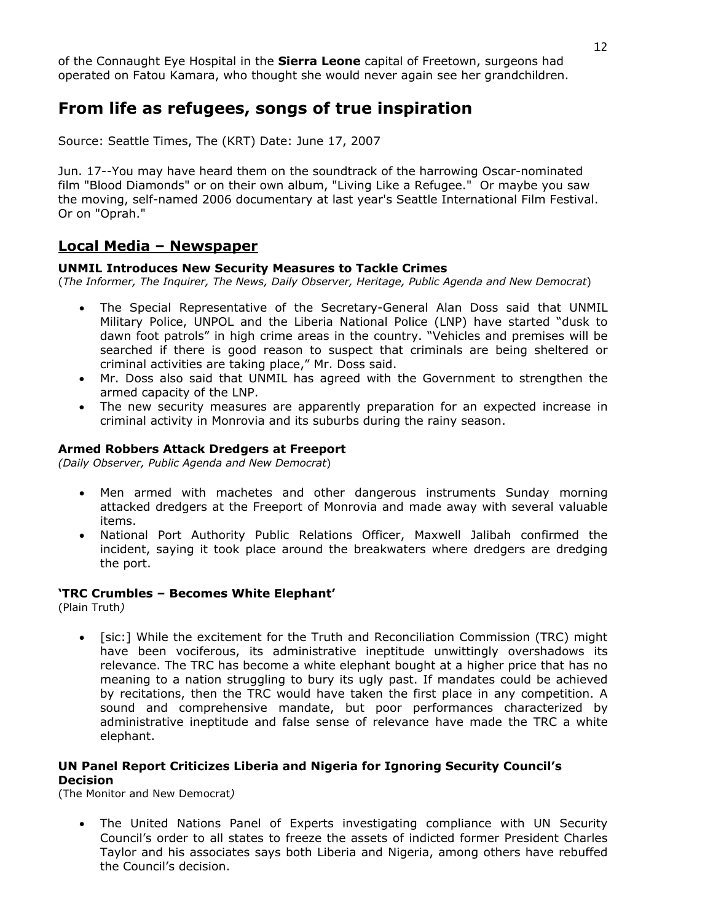of the Connaught Eye Hospital in the **Sierra Leone** capital of Freetown, surgeons had operated on Fatou Kamara, who thought she would never again see her grandchildren.

## **From life as refugees, songs of true inspiration**

Source: Seattle Times, The (KRT) Date: June 17, 2007

Jun. 17--You may have heard them on the soundtrack of the harrowing Oscar-nominated film "Blood Diamonds" or on their own album, "Living Like a Refugee." Or maybe you saw the moving, self-named 2006 documentary at last year's Seattle International Film Festival. Or on "Oprah."

#### **Local Media – Newspaper**

#### **UNMIL Introduces New Security Measures to Tackle Crimes**

(*The Informer, The Inquirer, The News, Daily Observer, Heritage, Public Agenda and New Democrat*)

- The Special Representative of the Secretary-General Alan Doss said that UNMIL Military Police, UNPOL and the Liberia National Police (LNP) have started "dusk to dawn foot patrols" in high crime areas in the country. "Vehicles and premises will be searched if there is good reason to suspect that criminals are being sheltered or criminal activities are taking place," Mr. Doss said.
- Mr. Doss also said that UNMIL has agreed with the Government to strengthen the armed capacity of the LNP.
- The new security measures are apparently preparation for an expected increase in criminal activity in Monrovia and its suburbs during the rainy season.

#### **Armed Robbers Attack Dredgers at Freeport**

*(Daily Observer, Public Agenda and New Democrat*)

- Men armed with machetes and other dangerous instruments Sunday morning attacked dredgers at the Freeport of Monrovia and made away with several valuable items.
- National Port Authority Public Relations Officer, Maxwell Jalibah confirmed the incident, saying it took place around the breakwaters where dredgers are dredging the port.

#### **'TRC Crumbles – Becomes White Elephant'**

(Plain Truth*)* 

• [sic:] While the excitement for the Truth and Reconciliation Commission (TRC) might have been vociferous, its administrative ineptitude unwittingly overshadows its relevance. The TRC has become a white elephant bought at a higher price that has no meaning to a nation struggling to bury its ugly past. If mandates could be achieved by recitations, then the TRC would have taken the first place in any competition. A sound and comprehensive mandate, but poor performances characterized by administrative ineptitude and false sense of relevance have made the TRC a white elephant.

#### **UN Panel Report Criticizes Liberia and Nigeria for Ignoring Security Council's Decision**

(The Monitor and New Democrat*)* 

• The United Nations Panel of Experts investigating compliance with UN Security Council's order to all states to freeze the assets of indicted former President Charles Taylor and his associates says both Liberia and Nigeria, among others have rebuffed the Council's decision.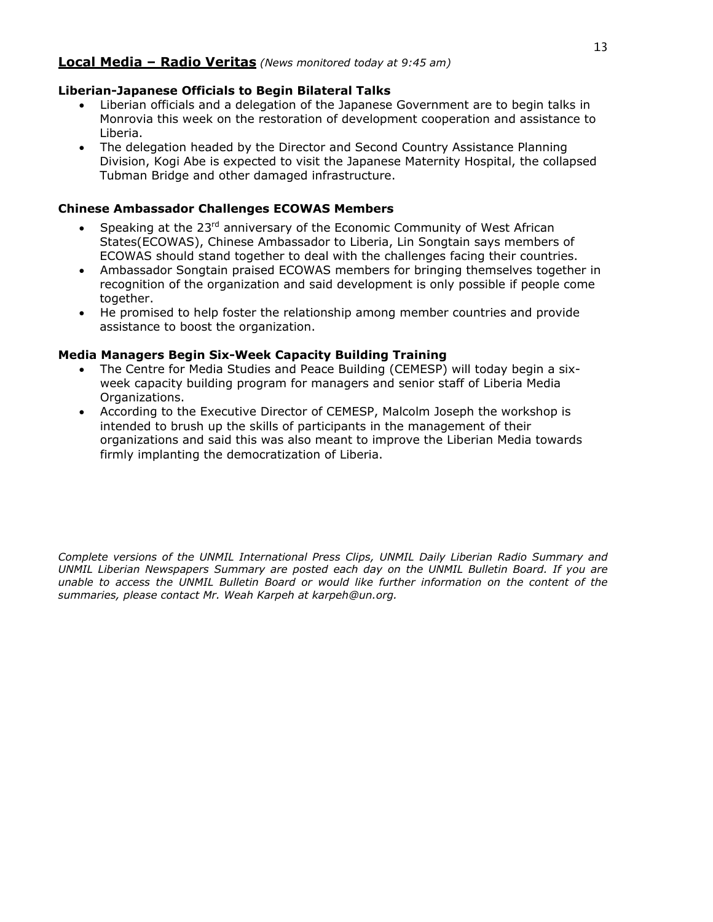#### **Local Media – Radio Veritas** *(News monitored today at 9:45 am)*

#### **Liberian-Japanese Officials to Begin Bilateral Talks**

- Liberian officials and a delegation of the Japanese Government are to begin talks in Monrovia this week on the restoration of development cooperation and assistance to Liberia.
- The delegation headed by the Director and Second Country Assistance Planning Division, Kogi Abe is expected to visit the Japanese Maternity Hospital, the collapsed Tubman Bridge and other damaged infrastructure.

#### **Chinese Ambassador Challenges ECOWAS Members**

- Speaking at the 23<sup>rd</sup> anniversary of the Economic Community of West African States(ECOWAS), Chinese Ambassador to Liberia, Lin Songtain says members of ECOWAS should stand together to deal with the challenges facing their countries.
- Ambassador Songtain praised ECOWAS members for bringing themselves together in recognition of the organization and said development is only possible if people come together.
- He promised to help foster the relationship among member countries and provide assistance to boost the organization.

#### **Media Managers Begin Six-Week Capacity Building Training**

- The Centre for Media Studies and Peace Building (CEMESP) will today begin a sixweek capacity building program for managers and senior staff of Liberia Media Organizations.
- According to the Executive Director of CEMESP, Malcolm Joseph the workshop is intended to brush up the skills of participants in the management of their organizations and said this was also meant to improve the Liberian Media towards firmly implanting the democratization of Liberia.

*Complete versions of the UNMIL International Press Clips, UNMIL Daily Liberian Radio Summary and UNMIL Liberian Newspapers Summary are posted each day on the UNMIL Bulletin Board. If you are unable to access the UNMIL Bulletin Board or would like further information on the content of the summaries, please contact Mr. Weah Karpeh at karpeh@un.org.*